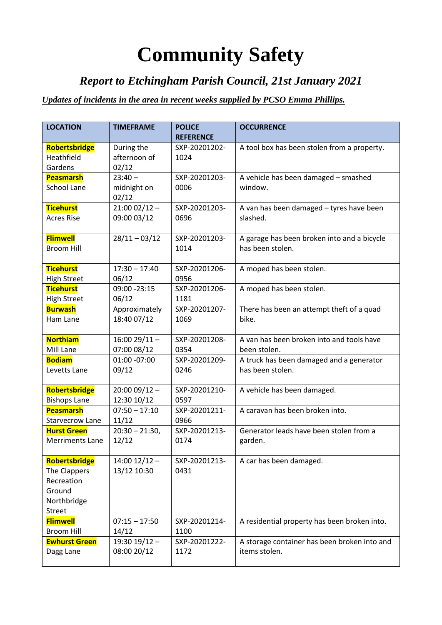## **Community Safety**

## *Report to Etchingham Parish Council, 21st January 2021*

## *Updates of incidents in the area in recent weeks supplied by PCSO Emma Phillips.*

| <b>LOCATION</b>        | <b>TIMEFRAME</b>  | <b>POLICE</b>    | <b>OCCURRENCE</b>                            |
|------------------------|-------------------|------------------|----------------------------------------------|
|                        |                   | <b>REFERENCE</b> |                                              |
| <b>Robertsbridge</b>   | During the        | SXP-20201202-    | A tool box has been stolen from a property.  |
| Heathfield             | afternoon of      | 1024             |                                              |
| Gardens                | 02/12             |                  |                                              |
| <b>Peasmarsh</b>       | $23:40 -$         | SXP-20201203-    | A vehicle has been damaged - smashed         |
| <b>School Lane</b>     | midnight on       | 0006             | window.                                      |
|                        | 02/12             |                  |                                              |
| <b>Ticehurst</b>       | $21:0002/12 -$    | SXP-20201203-    | A van has been damaged - tyres have been     |
| <b>Acres Rise</b>      | 09:00 03/12       | 0696             | slashed.                                     |
| <b>Flimwell</b>        | $28/11 - 03/12$   | SXP-20201203-    | A garage has been broken into and a bicycle  |
| <b>Broom Hill</b>      |                   | 1014             | has been stolen.                             |
|                        |                   |                  |                                              |
| <b>Ticehurst</b>       | $17:30 - 17:40$   | SXP-20201206-    | A moped has been stolen.                     |
| <b>High Street</b>     | 06/12             | 0956             |                                              |
| <b>Ticehurst</b>       | 09:00 -23:15      | SXP-20201206-    | A moped has been stolen.                     |
| <b>High Street</b>     | 06/12             | 1181             |                                              |
| <b>Burwash</b>         | Approximately     | SXP-20201207-    | There has been an attempt theft of a quad    |
| Ham Lane               | 18:40 07/12       | 1069             | bike.                                        |
|                        |                   |                  |                                              |
| <b>Northiam</b>        | $16:0029/11 -$    | SXP-20201208-    | A van has been broken into and tools have    |
| Mill Lane              | 07:00 08/12       | 0354             | been stolen.                                 |
| <b>Bodiam</b>          | 01:00 -07:00      | SXP-20201209-    | A truck has been damaged and a generator     |
| Levetts Lane           | 09/12             | 0246             | has been stolen.                             |
|                        |                   |                  |                                              |
| Robertsbridge          | $20:0009/12 -$    | SXP-20201210-    | A vehicle has been damaged.                  |
| <b>Bishops Lane</b>    | 12:30 10/12       | 0597             |                                              |
| <b>Peasmarsh</b>       | $07:50 - 17:10$   | SXP-20201211-    | A caravan has been broken into.              |
| <b>Starvecrow Lane</b> | 11/12             | 0966             |                                              |
| <b>Hurst Green</b>     | $20:30 - 21:30,$  | SXP-20201213-    | Generator leads have been stolen from a      |
| <b>Merriments Lane</b> | 12/12             | 0174             | garden.                                      |
| Robertsbridge          | $14:00$ $12/12 -$ | SXP-20201213-    | A car has been damaged.                      |
| The Clappers           | 13/12 10:30       | 0431             |                                              |
| Recreation             |                   |                  |                                              |
| Ground                 |                   |                  |                                              |
| Northbridge            |                   |                  |                                              |
| <b>Street</b>          |                   |                  |                                              |
| <b>Flimwell</b>        | $07:15 - 17:50$   | SXP-20201214-    | A residential property has been broken into. |
| <b>Broom Hill</b>      | 14/12             | 1100             |                                              |
| <b>Ewhurst Green</b>   | 19:30 19/12 -     | SXP-20201222-    | A storage container has been broken into and |
| Dagg Lane              | 08:00 20/12       | 1172             | items stolen.                                |
|                        |                   |                  |                                              |